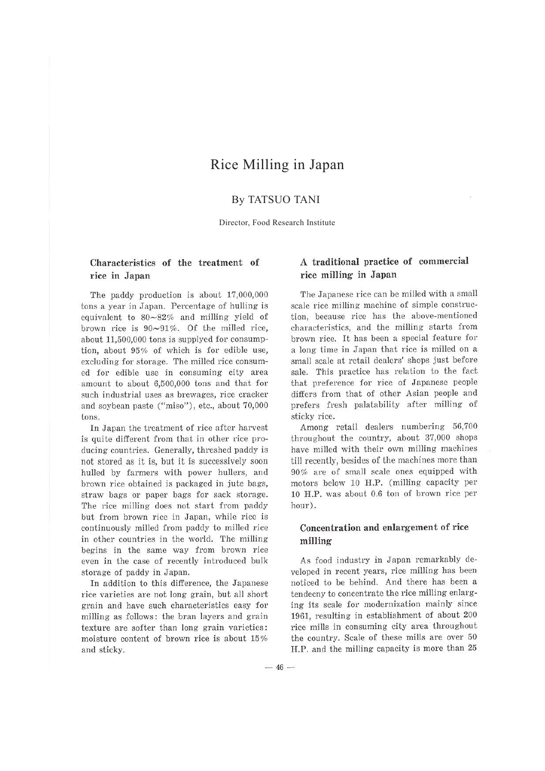# Rice Milling in Japan

# By TATSUO TANI

Director, Food Research Institute

### **Characteristics of the treatment of rice in Japan**

The paddy production is about 17,000,000 tons a year in Japan. Percentage of hulling is equivalent to 80-82% and milling yield of brown rice is  $90~91\%$ . Of the milled rice, about 11,500,000 tons is supplyed for consumption, about 95% of which is for edible use, excluding for storage. The milled rice consumed for edible use in consuming city area amount to about 6,500,000 tons and that for such industrial uses as brewages, rice cracker and soybean paste ("miso"), etc., about 70,000 tons.

In Japan the treatment of rice after harvest is quite different from that in other rice producing countries. Generally, threshed paddy is not stored as it is, but it is successively soon hulled by farmers with power hullers, and brown rice obtained is packaged in jute bags, straw bags or paper bags for sack storage. The rice milling does not start from paddy but from brown rice in Japan, while rice is continuously milled from paddy to milled rice in other countries in the world. The milling begins in the same way from brown rice even in the case of recently introduced bulk storage of paddy in Japan.

In addition to this difference, the Japanese rice varieties are not long grain, but all short grain and have such characteristics easy for milling as follows: the bran layers and grain texture are softer than Jong grain varieties : moisture content of brown rice is about 15% and sticky.

### **A traditional practice of commercial rice milling in Japan**

The Japanese rice can be milled with a small scale rice milling machine of simple construction, because rice has the above-mentioned characteristics, and the milling starts from brown rice. It has been a special feature for a long time in Japan that rice is milled on a small scale at retail dealers' shops just before sale. This practice has relation to the fact that preference for rice of Japanese people differs from that of other Asian people and prefers fresh palatability after milling of sticky rice.

Among retail dealers numbering 56,700 throughout the country, about 37,000 shops have milled with their own milling machines till recently, besides of the machines more than 90% are of small scale ones equipped with motors below 10 H.P. (milling capacity per 10 H.P. was about 0.6 ton of brown rice per hour).

# **Concentration and enlargement of rice milling**

As food industry in Japan remarkably developed in recent years, rice milling has been noticed to be behind. And there has been a tendecny to concentrate the rice milling enlarging its scale for modernization mainly since 1961, resulting in establishment of about 200 rice mills in consuming city area throughout the country. Scale of these mills are over 50 H.P. and the milling capacity is more than 25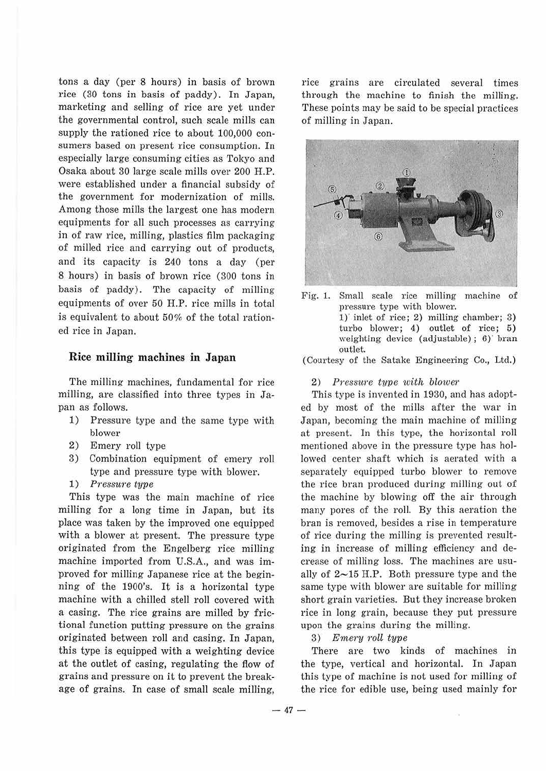tons a day (per 8 hours) **in** basis of brown rice (30 tons in basis of paddy). In Japan, marketing and selling of rice are yet under the governmental control, such scale mills can supply the rationed rice to about 100,000 consumers based on present rice consumption. In especially large consuming cities as Tokyo and Osaka about 30 large scale mills over 200 H.P. were established under a financial subsidy of the government for modernization of mills. Among those mills the largest one has modern equipments for all such processes as carrying in of raw rice, milling, plastics film packaging of milled rice and carrying out of products, and its capacity is 240 tons a day (per 8 hours) in basis of brown rice (300 tons in basis of paddy). The capacity of milling equipments of over 50 H.P. rice mills in total is equivalent to about 50% of the total rationed rice in Japan.

#### **Rice milling machines in Japan**

The milling machines, fundamental for rice milling, are classified into three types in Japan as follows.

- 1) Pressure type and the same type with blower
- 2) Emery roll type
- 3) Combination equipment of emery roll type and pressure type with blower.
- 1) *Pressure type*

This type was the main machine of rice milling for a long time in Japan, but its place was taken by the improved one equipped with a blower at present. The pressure type originated from the Engelberg rice milling machine imported from U.S.A., and was improved for milling Japanese rice at the beginning of the 1900's. It is a horizontal type machine with a chilled stell roll covered with a casing. The rice grains are milled by frictional function putting pressure on the grains originated between roll and casing. In Japan, this type is equipped with a weighting device at the outlet of casing, regulating the flow of grains and pressure on it to prevent the breakage of grains. In case of small scale milling,

rice grains are circulated several times through the machine to finish the milling. These points may be said to be special practices of milling in Japan.



Fig. 1. Small scale rice milling machine of pressure type with blower. 1)' inlet of rice; 2) milling chamber; 3) turbo blower; 4) outlet of rice; 5) weighting device (adjustable); 6) bran outlet.

(Courtesy of the Satake Engineering Co., Ltd.)

2) *Pressitre type with blower* 

This type is invented in 1930, and has adopted by most of the mills after the war in Japan, becoming the main machine of milling at present. In this type, the horizontal roll mentioned above in the pressure type has hollowed center shaft which is aerated with a separately equipped turbo blower to remove the rice bran produced during milling out of the machine by blowing off the air through many pores of the roll. By this aeration the bran is removed, besides a rise in temperature of rice during the milling is prevented resulting in increase of milling efficiency and decrease of milling loss. The machines are usually of  $2~15$  H.P. Both pressure type and the same type with blower are suitable for milling short grain varieties. But they increase broken rice in long grain, because they put pressure upon the grains during the milling.

### 3) *E1nery roll type*

There are two kinds of machines in the type, vertical and horizontal. In Japan this type of machine is not used for milling of the rice for edible use, being used mainly for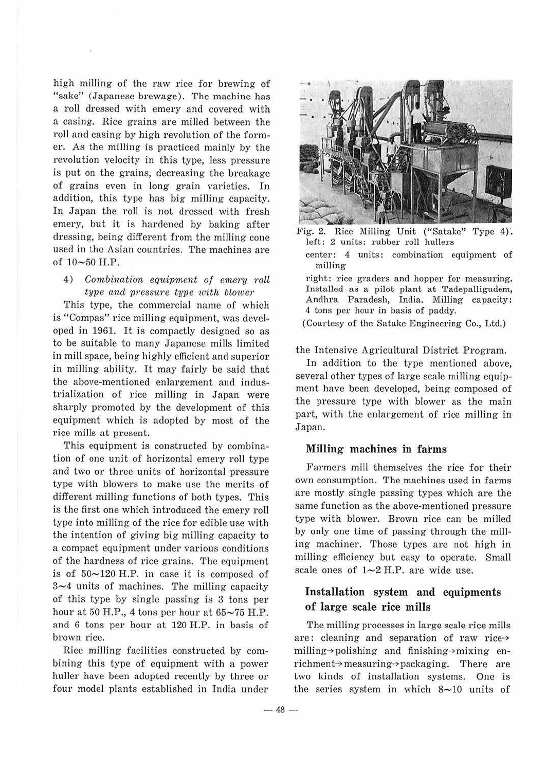high milling of the raw rice for brewing of "sake" (Japanese brewage). The machine has a roll dressed with emery and covered with a casing. Rice grains are milled between the roll and casing by high revolution of the former. As the milling is practiced mainly by the revolution velocity in this type, less pressure is put on the grains, decreasing the breakage of grains even in long grain varieties. In addition, this type has big milling capacity. In Japan the roll is not dressed with fresh emery, but it is hardened by baking after dressing, being different from the milling cone used in the Asian countries. The machines are of 10-50 H.P.

4) *Combination equipment of emery roll type cincl pressure type with blower* 

This type, the commercial name of which is "Compas" rice milling equipment, was developed in 1961. It is compactly designed so as to be suitable to many Japanese mills limited in mill space, being highly efficient and superior in milling ability. It may fairly be said that the above-mentioned enlargement and industrialization of rice milling in Japan were sharply promoted by the development of this equipment which is adopted by most of the rice mills at present.

This equipment is constructed by combination of one unit of horizontal emery roll type and two or three units of horizontal pressure type with blowers to make use the merits of different milling functions of both types. This is the first one which introduced the emery roll type into milling of the rice for edible use with the intention of giving big milling capacity to a compact equipment under various conditions of the hardness of rice grains. The equipment is of  $50~120$  H.P. in case it is composed of  $3\nu$ -4 units of machines. The milling capacity of this type by single passing is 3 tons per hour at 50 H.P., 4 tons per hour at  $65{\sim}75$  H.P. and 6 tons per hour at 120 H.P. in basis of brown rice.

Rice milling facilities constructed by combining this type of equipment with a power huller have been adopted recently by three or four model plants established in India under



Fig. 2. Rice Milling Unit ("Satake" Type 4). left: 2 units: rubber roll hullers

center: 4 units: combination equipment of milling

right: rice graders and hopper for measuring. Installed as a pilot plant at Tadepalligudem, Andhra Paradesh, India. Milling capacity: 4 tons per hour in basis of paddy.

(Courtesy of the Satake Engineering Co., Ltd.)

the Intensive Agricultural District Program.

In addition to the type mentioned above, several other types of large scale milling equipment have been developed, being composed of the pressure type with blower as the main part, with the enlargement of rice milling in Japan.

### **Milling machines in farms**

Farmers mill themselves the rice for their own consumption. The machines used in farms are mostly single passing types which are the same function as the above-mentioned pressure type with blower. Brown rice can be milled by only one time of passing through the miJling machiner. Those types are not high in milling efficiency but easy to operate. Small scale ones of  $1\neg 2$  H.P. are wide use.

# **Installation system and equipments of large scale rice mills**

The milling processes in large scale rice mills are: cleaning and separation of raw rice-> milling- $\rightarrow$ polishing and finishing- $\rightarrow$ mixing enrichment $\rightarrow$  measuring $\rightarrow$  packaging. There are two kinds of installation systems. One is the series system in which  $8 \sim 10$  units of